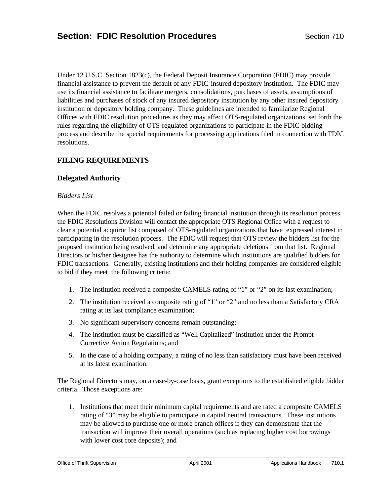# **Section: FDIC Resolution Procedures** Section 710

Under 12 U.S.C. Section 1823(c), the Federal Deposit Insurance Corporation (FDIC) may provide financial assistance to prevent the default of any FDIC-insured depository institution. The FDIC may use its financial assistance to facilitate mergers, consolidations, purchases of assets, assumptions of liabilities and purchases of stock of any insured depository institution by any other insured depository institution or depository holding company. These guidelines are intended to familiarize Regional Offices with FDIC resolution procedures as they may affect OTS-regulated organizations, set forth the rules regarding the eligibility of OTS-regulated organizations to participate in the FDIC bidding process and describe the special requirements for processing applications filed in connection with FDIC resolutions.

# **FILING REQUIREMENTS**

## **Delegated Authority**

## *Bidders List*

When the FDIC resolves a potential failed or failing financial institution through its resolution process, the FDIC Resolutions Division will contact the appropriate OTS Regional Office with a request to clear a potential acquiror list composed of OTS-regulated organizations that have expressed interest in participating in the resolution process. The FDIC will request that OTS review the bidders list for the proposed institution being resolved, and determine any appropriate deletions from that list. Regional Directors or his/her designee has the authority to determine which institutions are qualified bidders for FDIC transactions. Generally, existing institutions and their holding companies are considered eligible to bid if they meet the following criteria:

- 1. The institution received a composite CAMELS rating of "1" or "2" on its last examination;
- 2. The institution received a composite rating of "1" or "2" and no less than a Satisfactory CRA rating at its last compliance examination;
- 3. No significant supervisory concerns remain outstanding;
- 4. The institution must be classified as "Well Capitalized" institution under the Prompt Corrective Action Regulations; and
- 5. In the case of a holding company, a rating of no less than satisfactory must have been received at its latest examination.

The Regional Directors may, on a case-by-case basis, grant exceptions to the established eligible bidder criteria. Those exceptions are:

1. Institutions that meet their minimum capital requirements and are rated a composite CAMELS rating of "3" may be eligible to participate in capital neutral transactions. These institutions may be allowed to purchase one or more branch offices if they can demonstrate that the transaction will improve their overall operations (such as replacing higher cost borrowings with lower cost core deposits); and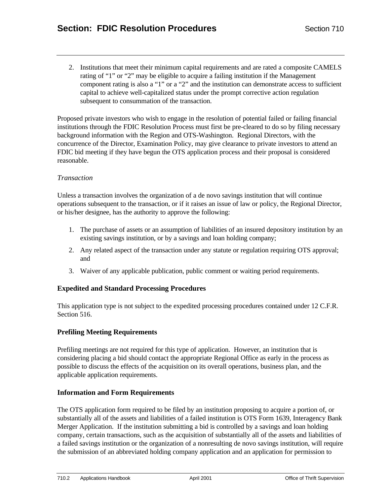2. Institutions that meet their minimum capital requirements and are rated a composite CAMELS rating of "1" or "2" may be eligible to acquire a failing institution if the Management component rating is also a "1" or a "2" and the institution can demonstrate access to sufficient capital to achieve well-capitalized status under the prompt corrective action regulation subsequent to consummation of the transaction.

Proposed private investors who wish to engage in the resolution of potential failed or failing financial institutions through the FDIC Resolution Process must first be pre-cleared to do so by filing necessary background information with the Region and OTS-Washington. Regional Directors, with the concurrence of the Director, Examination Policy, may give clearance to private investors to attend an FDIC bid meeting if they have begun the OTS application process and their proposal is considered reasonable.

#### *Transaction*

Unless a transaction involves the organization of a de novo savings institution that will continue operations subsequent to the transaction, or if it raises an issue of law or policy, the Regional Director, or his/her designee, has the authority to approve the following:

- 1. The purchase of assets or an assumption of liabilities of an insured depository institution by an existing savings institution, or by a savings and loan holding company;
- 2. Any related aspect of the transaction under any statute or regulation requiring OTS approval; and
- 3. Waiver of any applicable publication, public comment or waiting period requirements.

## **Expedited and Standard Processing Procedures**

This application type is not subject to the expedited processing procedures contained under 12 C.F.R. Section 516.

## **Prefiling Meeting Requirements**

Prefiling meetings are not required for this type of application. However, an institution that is considering placing a bid should contact the appropriate Regional Office as early in the process as possible to discuss the effects of the acquisition on its overall operations, business plan, and the applicable application requirements.

#### **Information and Form Requirements**

The OTS application form required to be filed by an institution proposing to acquire a portion of, or substantially all of the assets and liabilities of a failed institution is OTS Form 1639, Interagency Bank Merger Application. If the institution submitting a bid is controlled by a savings and loan holding company, certain transactions, such as the acquisition of substantially all of the assets and liabilities of a failed savings institution or the organization of a nonresulting de novo savings institution, will require the submission of an abbreviated holding company application and an application for permission to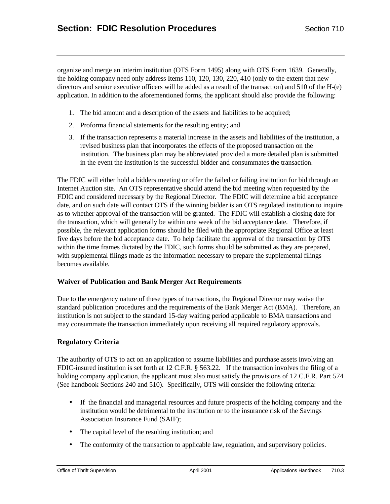organize and merge an interim institution (OTS Form 1495) along with OTS Form 1639. Generally, the holding company need only address Items 110, 120, 130, 220, 410 (only to the extent that new directors and senior executive officers will be added as a result of the transaction) and 510 of the H-(e) application. In addition to the aforementioned forms, the applicant should also provide the following:

- 1. The bid amount and a description of the assets and liabilities to be acquired;
- 2. Proforma financial statements for the resulting entity; and
- 3. If the transaction represents a material increase in the assets and liabilities of the institution, a revised business plan that incorporates the effects of the proposed transaction on the institution. The business plan may be abbreviated provided a more detailed plan is submitted in the event the institution is the successful bidder and consummates the transaction.

The FDIC will either hold a bidders meeting or offer the failed or failing institution for bid through an Internet Auction site. An OTS representative should attend the bid meeting when requested by the FDIC and considered necessary by the Regional Director. The FDIC will determine a bid acceptance date, and on such date will contact OTS if the winning bidder is an OTS regulated institution to inquire as to whether approval of the transaction will be granted. The FDIC will establish a closing date for the transaction, which will generally be within one week of the bid acceptance date. Therefore, if possible, the relevant application forms should be filed with the appropriate Regional Office at least five days before the bid acceptance date. To help facilitate the approval of the transaction by OTS within the time frames dictated by the FDIC, such forms should be submitted as they are prepared, with supplemental filings made as the information necessary to prepare the supplemental filings becomes available.

## **Waiver of Publication and Bank Merger Act Requirements**

Due to the emergency nature of these types of transactions, the Regional Director may waive the standard publication procedures and the requirements of the Bank Merger Act (BMA). Therefore, an institution is not subject to the standard 15-day waiting period applicable to BMA transactions and may consummate the transaction immediately upon receiving all required regulatory approvals.

## **Regulatory Criteria**

The authority of OTS to act on an application to assume liabilities and purchase assets involving an FDIC-insured institution is set forth at 12 C.F.R. § 563.22. If the transaction involves the filing of a holding company application, the applicant must also must satisfy the provisions of 12 C.F.R. Part 574 (See handbook Sections 240 and 510). Specifically, OTS will consider the following criteria:

- If the financial and managerial resources and future prospects of the holding company and the institution would be detrimental to the institution or to the insurance risk of the Savings Association Insurance Fund (SAIF);
- The capital level of the resulting institution; and
- The conformity of the transaction to applicable law, regulation, and supervisory policies.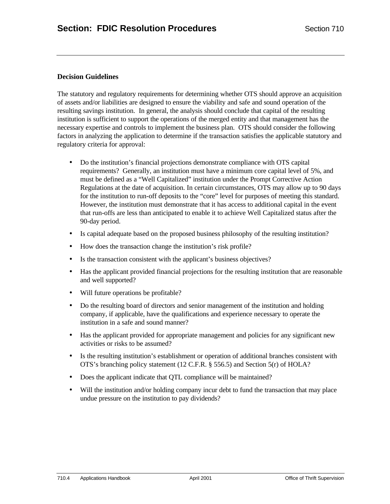#### **Decision Guidelines**

The statutory and regulatory requirements for determining whether OTS should approve an acquisition of assets and/or liabilities are designed to ensure the viability and safe and sound operation of the resulting savings institution. In general, the analysis should conclude that capital of the resulting institution is sufficient to support the operations of the merged entity and that management has the necessary expertise and controls to implement the business plan. OTS should consider the following factors in analyzing the application to determine if the transaction satisfies the applicable statutory and regulatory criteria for approval:

- Do the institution's financial projections demonstrate compliance with OTS capital requirements? Generally, an institution must have a minimum core capital level of 5%, and must be defined as a "Well Capitalized" institution under the Prompt Corrective Action Regulations at the date of acquisition. In certain circumstances, OTS may allow up to 90 days for the institution to run-off deposits to the "core" level for purposes of meeting this standard. However, the institution must demonstrate that it has access to additional capital in the event that run-offs are less than anticipated to enable it to achieve Well Capitalized status after the 90-day period.
- Is capital adequate based on the proposed business philosophy of the resulting institution?
- How does the transaction change the institution's risk profile?
- Is the transaction consistent with the applicant's business objectives?
- Has the applicant provided financial projections for the resulting institution that are reasonable and well supported?
- Will future operations be profitable?
- Do the resulting board of directors and senior management of the institution and holding company, if applicable, have the qualifications and experience necessary to operate the institution in a safe and sound manner?
- Has the applicant provided for appropriate management and policies for any significant new activities or risks to be assumed?
- Is the resulting institution's establishment or operation of additional branches consistent with OTS's branching policy statement (12 C.F.R. § 556.5) and Section 5(r) of HOLA?
- Does the applicant indicate that QTL compliance will be maintained?
- Will the institution and/or holding company incur debt to fund the transaction that may place undue pressure on the institution to pay dividends?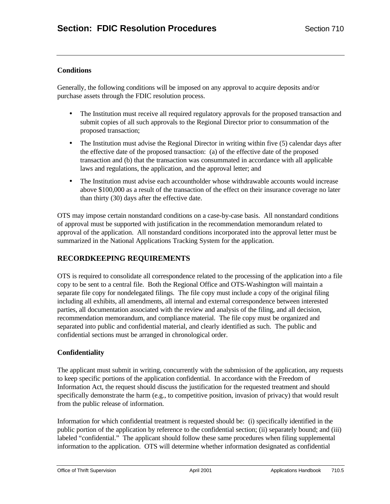## **Conditions**

Generally, the following conditions will be imposed on any approval to acquire deposits and/or purchase assets through the FDIC resolution process.

- The Institution must receive all required regulatory approvals for the proposed transaction and submit copies of all such approvals to the Regional Director prior to consummation of the proposed transaction;
- The Institution must advise the Regional Director in writing within five (5) calendar days after the effective date of the proposed transaction: (a) of the effective date of the proposed transaction and (b) that the transaction was consummated in accordance with all applicable laws and regulations, the application, and the approval letter; and
- The Institution must advise each accountholder whose withdrawable accounts would increase above \$100,000 as a result of the transaction of the effect on their insurance coverage no later than thirty (30) days after the effective date.

OTS may impose certain nonstandard conditions on a case-by-case basis. All nonstandard conditions of approval must be supported with justification in the recommendation memorandum related to approval of the application. All nonstandard conditions incorporated into the approval letter must be summarized in the National Applications Tracking System for the application.

# **RECORDKEEPING REQUIREMENTS**

OTS is required to consolidate all correspondence related to the processing of the application into a file copy to be sent to a central file. Both the Regional Office and OTS-Washington will maintain a separate file copy for nondelegated filings. The file copy must include a copy of the original filing including all exhibits, all amendments, all internal and external correspondence between interested parties, all documentation associated with the review and analysis of the filing, and all decision, recommendation memorandum, and compliance material. The file copy must be organized and separated into public and confidential material, and clearly identified as such. The public and confidential sections must be arranged in chronological order.

## **Confidentiality**

The applicant must submit in writing, concurrently with the submission of the application, any requests to keep specific portions of the application confidential. In accordance with the Freedom of Information Act, the request should discuss the justification for the requested treatment and should specifically demonstrate the harm (e.g., to competitive position, invasion of privacy) that would result from the public release of information.

Information for which confidential treatment is requested should be: (i) specifically identified in the public portion of the application by reference to the confidential section; (ii) separately bound; and (iii) labeled "confidential." The applicant should follow these same procedures when filing supplemental information to the application. OTS will determine whether information designated as confidential